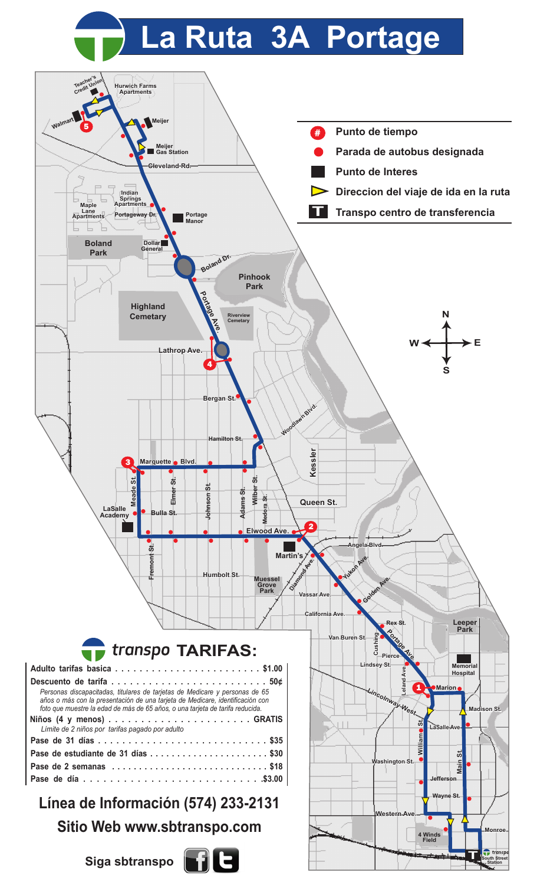## **La Ruta 3A Portage**